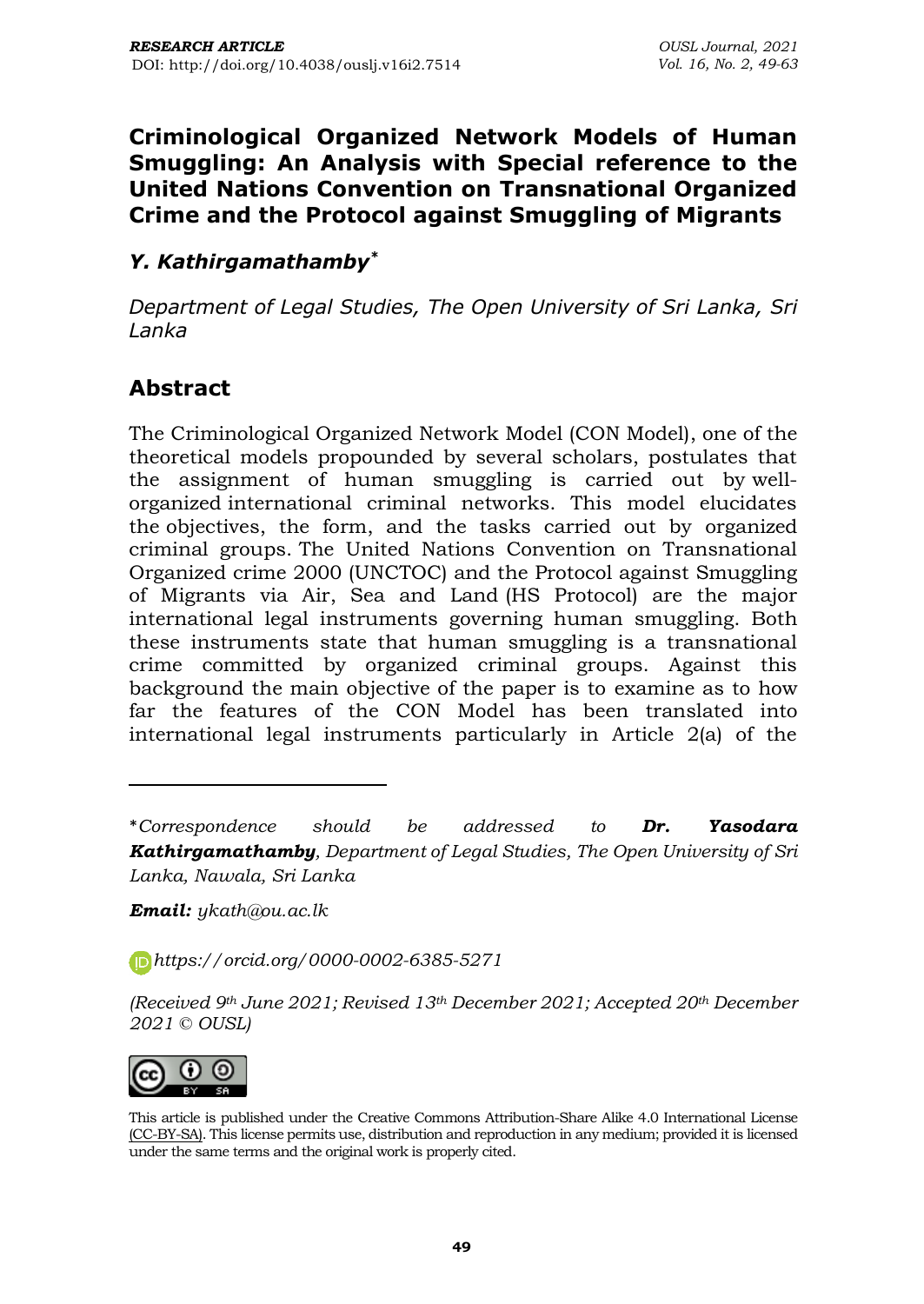## **Criminological Organized Network Models of Human Smuggling: An Analysis with Special reference to the United Nations Convention on Transnational Organized Crime and the Protocol against Smuggling of Migrants**

## *Y. Kathirgamathamby\**

*Department of Legal Studies, The Open University of Sri Lanka, Sri Lanka*

# **Abstract**

The Criminological Organized Network Model (CON Model), one of the theoretical models propounded by several scholars, postulates that the assignment of human smuggling is carried out by wellorganized international criminal networks. This model elucidates the objectives, the form, and the tasks carried out by organized criminal groups. The United Nations Convention on Transnational Organized crime 2000 (UNCTOC) and the Protocol against Smuggling of Migrants via Air, Sea and Land (HS Protocol) are the major international legal instruments governing human smuggling. Both these instruments state that human smuggling is a transnational crime committed by organized criminal groups. Against this background the main objective of the paper is to examine as to how far the features of the CON Model has been translated into international legal instruments particularly in Article 2(a) of the

\**Correspondence should be addressed to Dr. Yasodara Kathirgamathamby, Department of Legal Studies, The Open University of Sri Lanka, Nawala, Sri Lanka*

*Email: ykath@ou.ac.lk*

*[https://orcid.org](https://orcid.org/)/0000-0002-6385-5271* 

*(Received 9th June 2021; Revised 13th December 2021; Accepted 20th December 2021 © OUSL)*



This article is published under the Creative Commons [Attribution-Share](http://creativecommons.org/licenses/by-sa/4.0/) Alike 4.0 International License (CC-BY-SA). This license permits use, distribution and reproduction in any medium; provided it is licensed under the same terms and the original work is properly cited.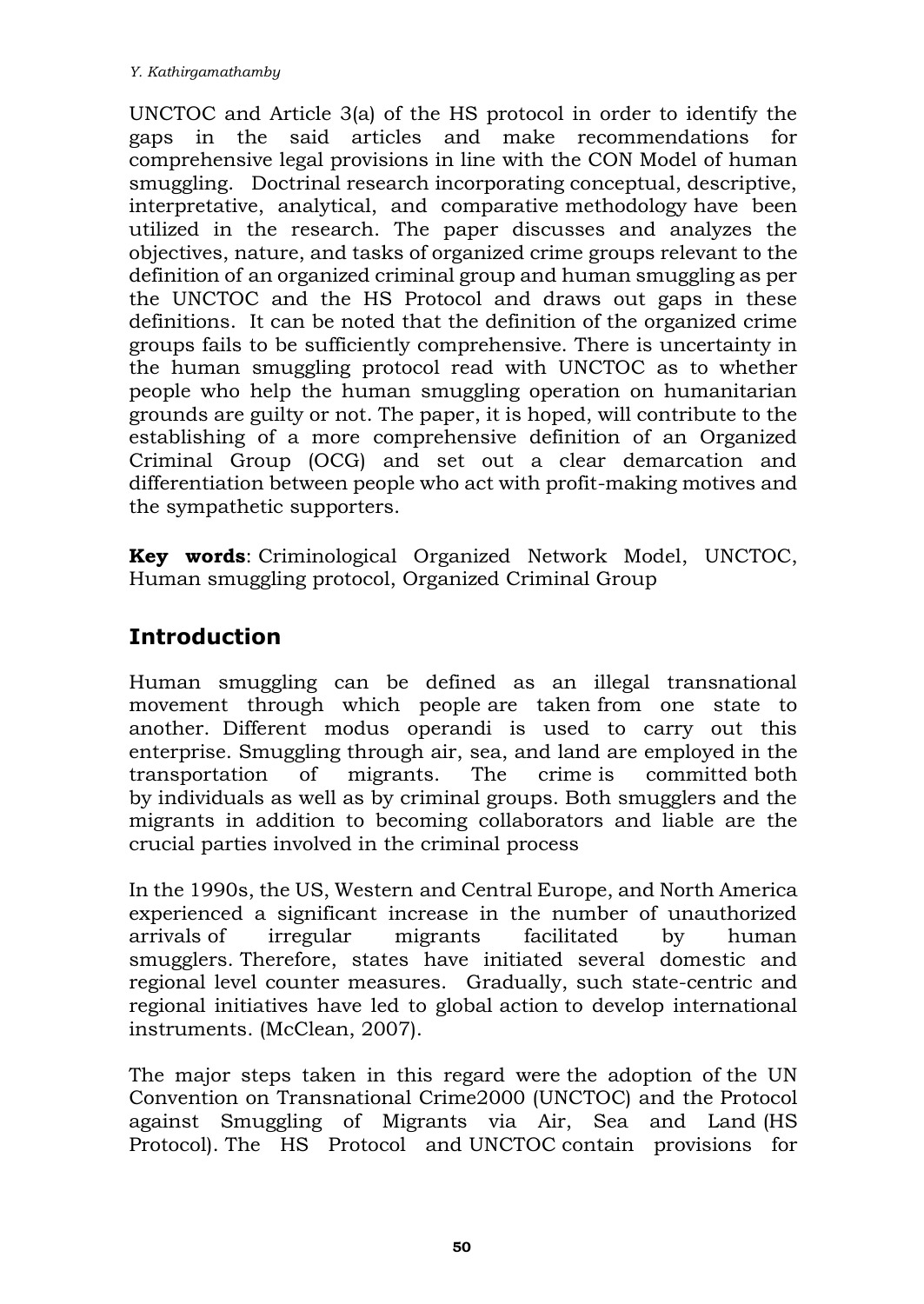UNCTOC and Article 3(a) of the HS protocol in order to identify the gaps in the said articles and make recommendations for comprehensive legal provisions in line with the CON Model of human smuggling. Doctrinal research incorporating conceptual, descriptive, interpretative, analytical, and comparative methodology have been utilized in the research. The paper discusses and analyzes the objectives, nature, and tasks of organized crime groups relevant to the definition of an organized criminal group and human smuggling as per the UNCTOC and the HS Protocol and draws out gaps in these definitions. It can be noted that the definition of the organized crime groups fails to be sufficiently comprehensive. There is uncertainty in the human smuggling protocol read with UNCTOC as to whether people who help the human smuggling operation on humanitarian grounds are guilty or not. The paper, it is hoped, will contribute to the establishing of a more comprehensive definition of an Organized Criminal Group (OCG) and set out a clear demarcation and differentiation between people who act with profit-making motives and the sympathetic supporters.

**Key words**: Criminological Organized Network Model, UNCTOC, Human smuggling protocol, Organized Criminal Group

# **Introduction**

Human smuggling can be defined as an illegal transnational movement through which people are taken from one state to another. Different modus operandi is used to carry out this enterprise. Smuggling through air, sea, and land are employed in the transportation of migrants. The crime is committed both by individuals as well as by criminal groups. Both smugglers and the migrants in addition to becoming collaborators and liable are the crucial parties involved in the criminal process

In the 1990s, the US, Western and Central Europe, and North America experienced a significant increase in the number of unauthorized arrivals of irregular migrants facilitated by human smugglers. Therefore, states have initiated several domestic and regional level counter measures. Gradually, such state-centric and regional initiatives have led to global action to develop international instruments. (McClean, 2007).

The major steps taken in this regard were the adoption of the UN Convention on Transnational Crime2000 (UNCTOC) and the Protocol against Smuggling of Migrants via Air, Sea and Land (HS Protocol). The HS Protocol and UNCTOC contain provisions for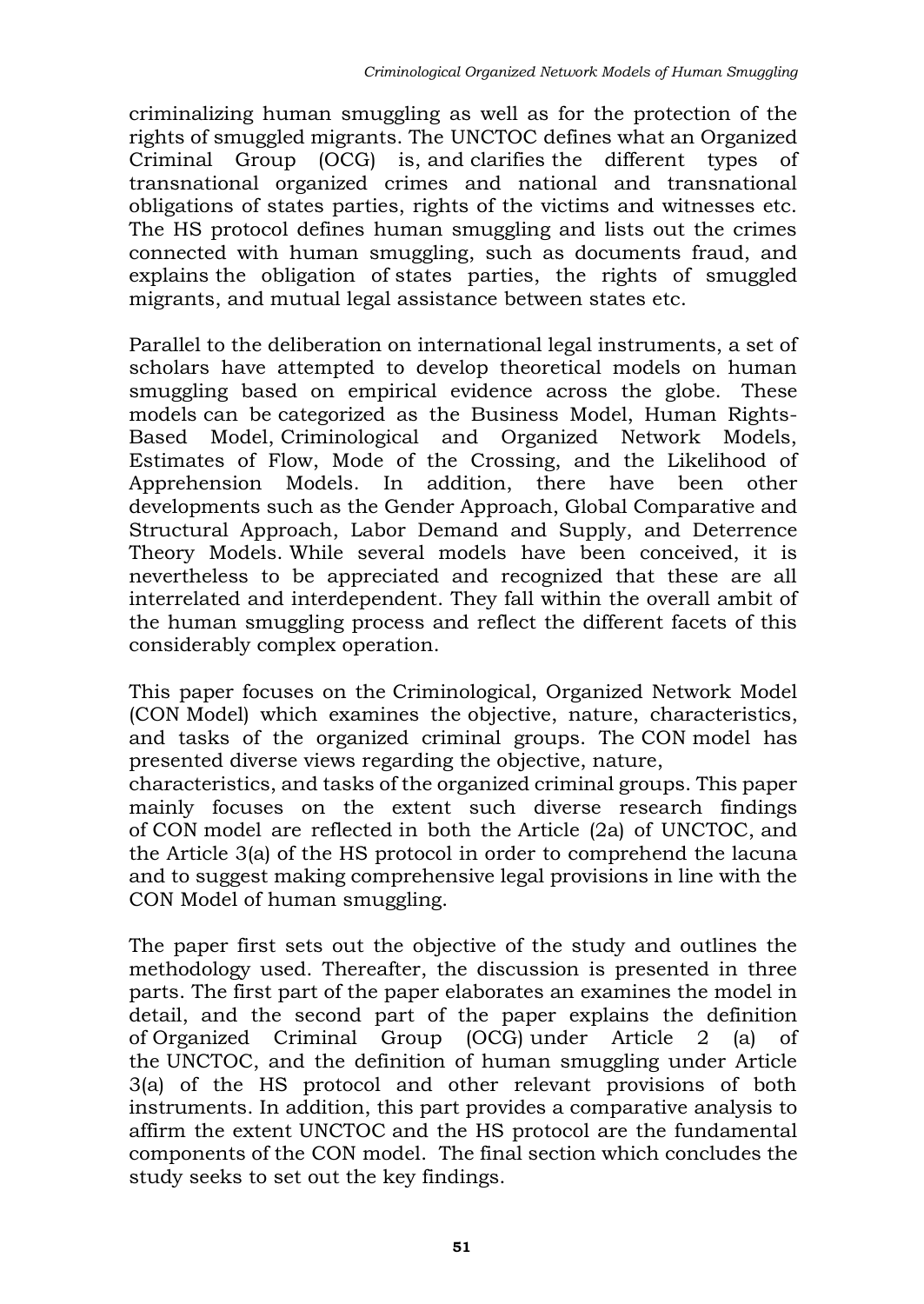criminalizing human smuggling as well as for the protection of the rights of smuggled migrants. The UNCTOC defines what an Organized Criminal Group (OCG) is, and clarifies the different types of transnational organized crimes and national and transnational obligations of states parties, rights of the victims and witnesses etc. The HS protocol defines human smuggling and lists out the crimes connected with human smuggling, such as documents fraud, and explains the obligation of states parties, the rights of smuggled migrants, and mutual legal assistance between states etc.

Parallel to the deliberation on international legal instruments, a set of scholars have attempted to develop theoretical models on human smuggling based on empirical evidence across the globe. These models can be categorized as the Business Model, Human Rights-Based Model, Criminological and Organized Network Models, Estimates of Flow, Mode of the Crossing, and the Likelihood of Apprehension Models. In addition, there have been other developments such as the Gender Approach, Global Comparative and Structural Approach, Labor Demand and Supply, and Deterrence Theory Models. While several models have been conceived, it is nevertheless to be appreciated and recognized that these are all interrelated and interdependent. They fall within the overall ambit of the human smuggling process and reflect the different facets of this considerably complex operation.

This paper focuses on the Criminological, Organized Network Model (CON Model) which examines the objective, nature, characteristics, and tasks of the organized criminal groups. The CON model has presented diverse views regarding the objective, nature,

characteristics, and tasks of the organized criminal groups. This paper mainly focuses on the extent such diverse research findings of CON model are reflected in both the Article (2a) of UNCTOC, and the Article 3(a) of the HS protocol in order to comprehend the lacuna and to suggest making comprehensive legal provisions in line with the CON Model of human smuggling.

The paper first sets out the objective of the study and outlines the methodology used. Thereafter, the discussion is presented in three parts. The first part of the paper elaborates an examines the model in detail, and the second part of the paper explains the definition of Organized Criminal Group (OCG) under Article 2 (a) of the UNCTOC, and the definition of human smuggling under Article 3(a) of the HS protocol and other relevant provisions of both instruments. In addition, this part provides a comparative analysis to affirm the extent UNCTOC and the HS protocol are the fundamental components of the CON model. The final section which concludes the study seeks to set out the key findings.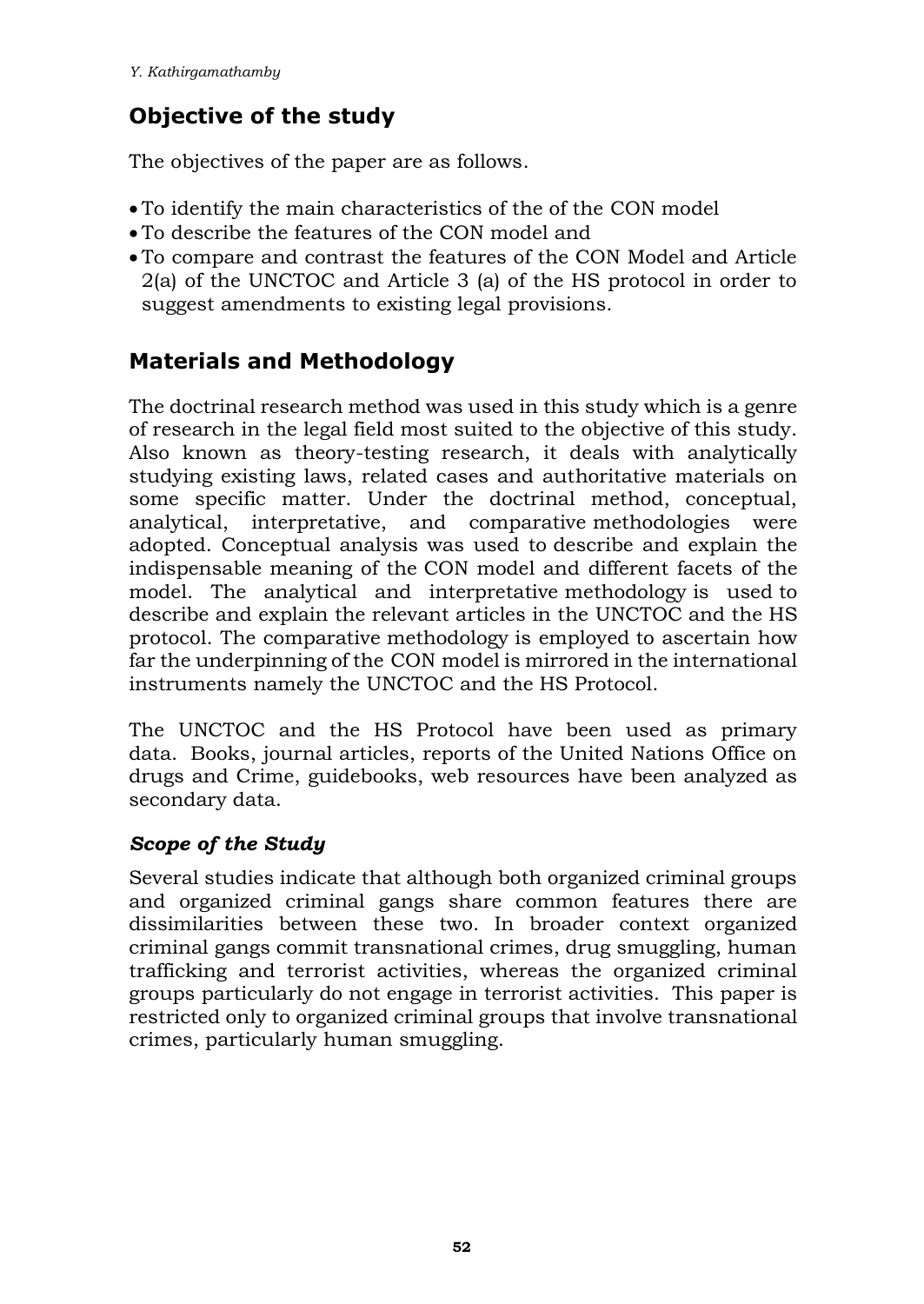# **Objective of the study**

The objectives of the paper are as follows.

- To identify the main characteristics of the of the CON model
- To describe the features of the CON model and
- To compare and contrast the features of the CON Model and Article 2(a) of the UNCTOC and Article 3 (a) of the HS protocol in order to suggest amendments to existing legal provisions.

# **Materials and Methodology**

The doctrinal research method was used in this study which is a genre of research in the legal field most suited to the objective of this study. Also known as theory-testing research, it deals with analytically studying existing laws, related cases and authoritative materials on some specific matter. Under the doctrinal method, conceptual, analytical, interpretative, and comparative methodologies were adopted. Conceptual analysis was used to describe and explain the indispensable meaning of the CON model and different facets of the model. The analytical and interpretative methodology is used to describe and explain the relevant articles in the UNCTOC and the HS protocol. The comparative methodology is employed to ascertain how far the underpinning of the CON model is mirrored in the international instruments namely the UNCTOC and the HS Protocol.

The UNCTOC and the HS Protocol have been used as primary data. Books, journal articles, reports of the United Nations Office on drugs and Crime, guidebooks, web resources have been analyzed as secondary data.

## *Scope of the Study*

Several studies indicate that although both organized criminal groups and organized criminal gangs share common features there are dissimilarities between these two. In broader context organized criminal gangs commit transnational crimes, drug smuggling, human trafficking and terrorist activities, whereas the organized criminal groups particularly do not engage in terrorist activities. This paper is restricted only to organized criminal groups that involve transnational crimes, particularly human smuggling.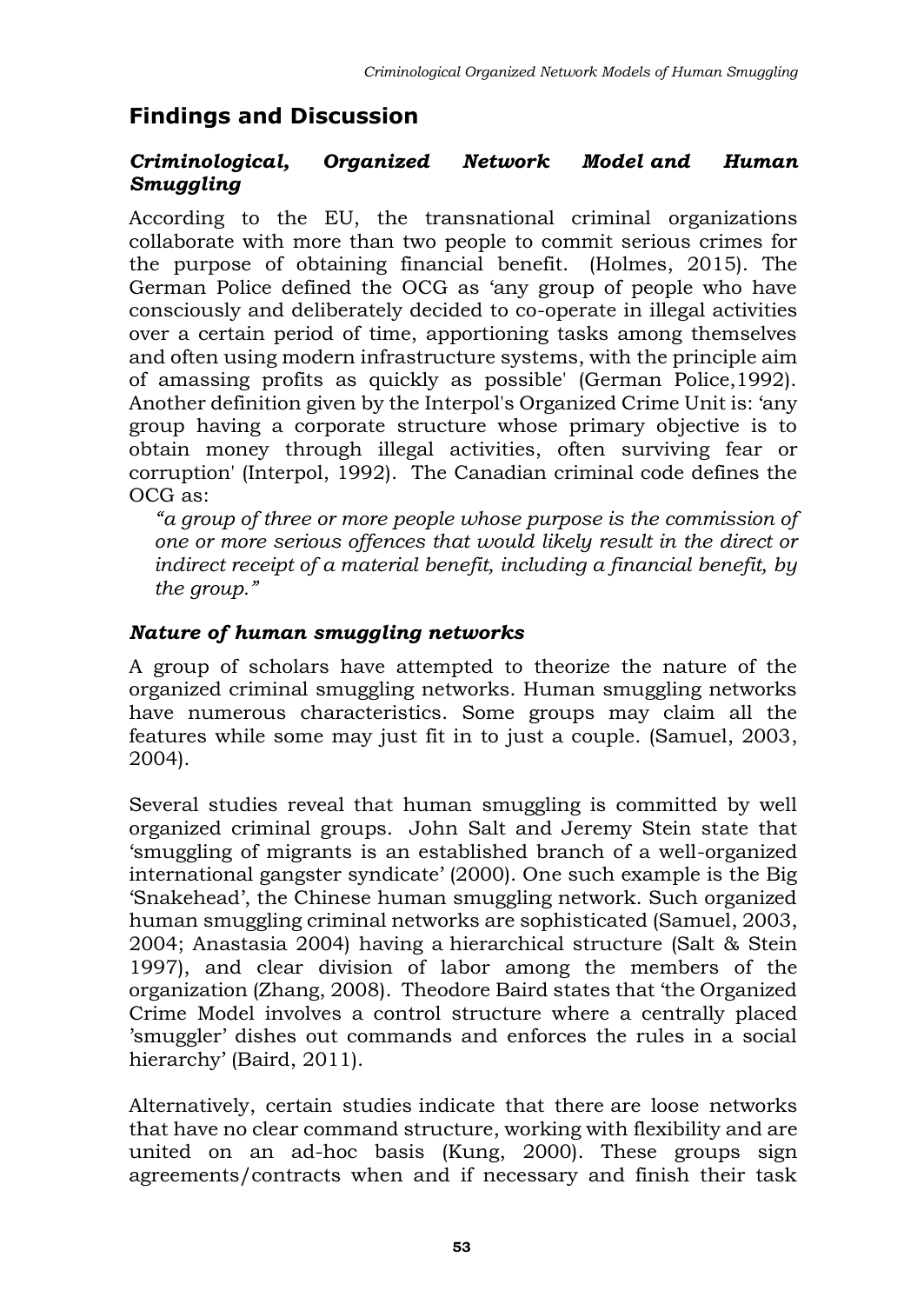# **Findings and Discussion**

### *Criminological, Organized Network Model and Human Smuggling*

According to the EU, the transnational criminal organizations collaborate with more than two people to commit serious crimes for the purpose of obtaining financial benefit. (Holmes, 2015). The German Police defined the OCG as 'any group of people who have consciously and deliberately decided to co-operate in illegal activities over a certain period of time, apportioning tasks among themselves and often using modern infrastructure systems, with the principle aim of amassing profits as quickly as possible' (German Police,1992). Another definition given by the Interpol's Organized Crime Unit is: 'any group having a corporate structure whose primary objective is to obtain money through illegal activities, often surviving fear or corruption' (Interpol, 1992). The Canadian criminal code defines the OCG as:

*"a group of three or more people whose purpose is the commission of one or more serious offences that would likely result in the direct or indirect receipt of a material benefit, including a financial benefit, by the group."*

### *Nature of human smuggling networks*

A group of scholars have attempted to theorize the nature of the organized criminal smuggling networks. Human smuggling networks have numerous characteristics. Some groups may claim all the features while some may just fit in to just a couple. (Samuel, 2003, 2004).

Several studies reveal that human smuggling is committed by well organized criminal groups. John Salt and Jeremy Stein state that 'smuggling of migrants is an established branch of a well-organized international gangster syndicate' (2000). One such example is the Big 'Snakehead', the Chinese human smuggling network. Such organized human smuggling criminal networks are sophisticated (Samuel, 2003, 2004; Anastasia 2004) having a hierarchical structure (Salt & Stein 1997), and clear division of labor among the members of the organization (Zhang, 2008). Theodore Baird states that 'the Organized Crime Model involves a control structure where a centrally placed 'smuggler' dishes out commands and enforces the rules in a social hierarchy' (Baird, 2011).

Alternatively, certain studies indicate that there are loose networks that have no clear command structure, working with flexibility and are united on an ad-hoc basis (Kung, 2000). These groups sign agreements/contracts when and if necessary and finish their task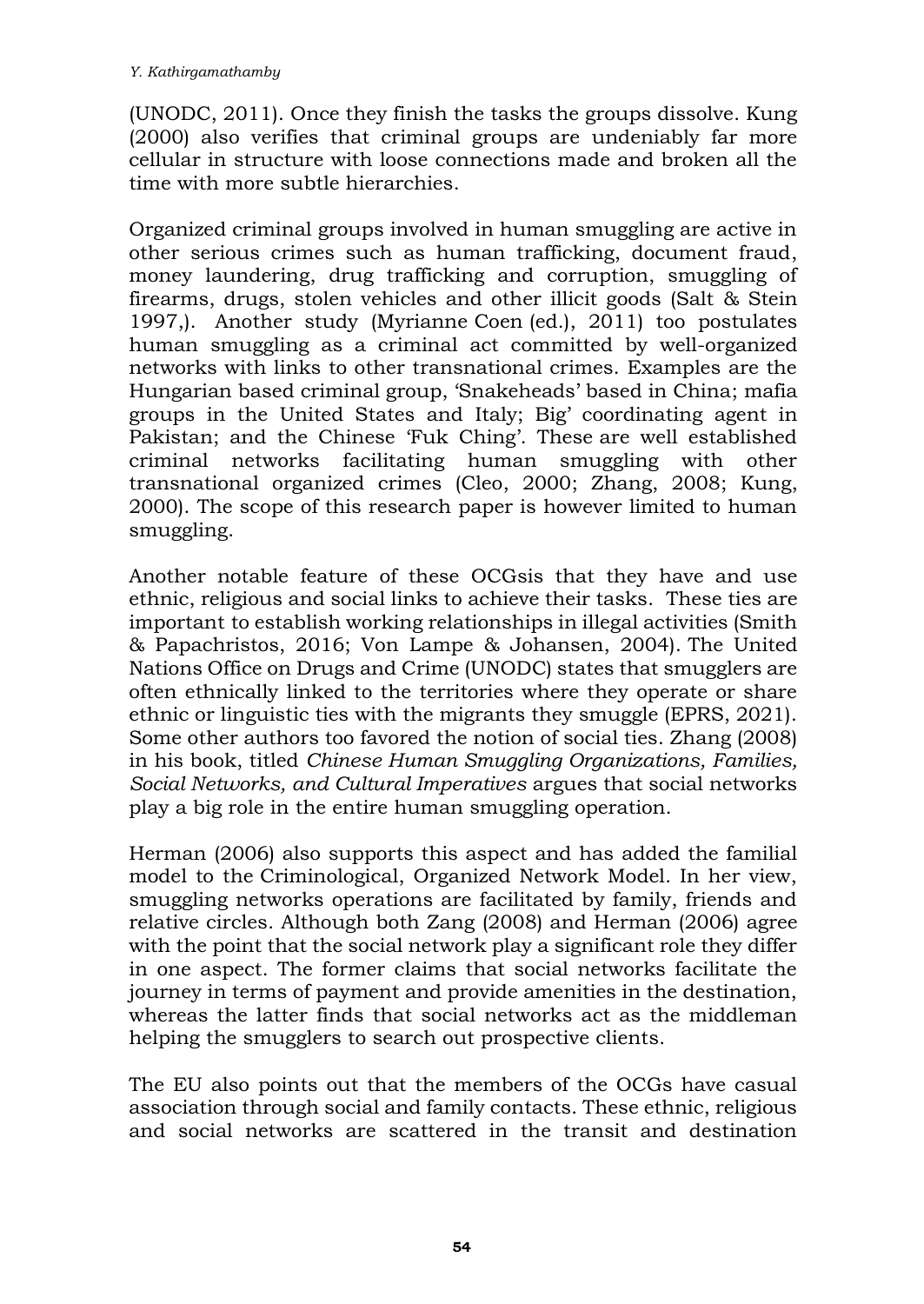(UNODC, 2011). Once they finish the tasks the groups dissolve. Kung (2000) also verifies that criminal groups are undeniably far more cellular in structure with loose connections made and broken all the time with more subtle hierarchies.

Organized criminal groups involved in human smuggling are active in other serious crimes such as human trafficking, document fraud, money laundering, drug trafficking and corruption, smuggling of firearms, drugs, stolen vehicles and other illicit goods (Salt & Stein 1997,). Another study (Myrianne Coen (ed.), 2011) too postulates human smuggling as a criminal act committed by well-organized networks with links to other transnational crimes. Examples are the Hungarian based criminal group, 'Snakeheads' based in China; mafia groups in the United States and Italy; Big' coordinating agent in Pakistan; and the Chinese 'Fuk Ching'. These are well established criminal networks facilitating human smuggling with other transnational organized crimes (Cleo, 2000; Zhang, 2008; Kung, 2000). The scope of this research paper is however limited to human smuggling.

Another notable feature of these OCGsis that they have and use ethnic, religious and social links to achieve their tasks. These ties are important to establish working relationships in illegal activities (Smith & Papachristos, 2016; Von Lampe & Johansen, 2004). The United Nations Office on Drugs and Crime (UNODC) states that smugglers are often ethnically linked to the territories where they operate or share ethnic or linguistic ties with the migrants they smuggle (EPRS, 2021). Some other authors too favored the notion of social ties. Zhang (2008) in his book, titled *Chinese Human Smuggling Organizations, Families, Social Networks, and Cultural Imperatives* argues that social networks play a big role in the entire human smuggling operation.

Herman (2006) also supports this aspect and has added the familial model to the Criminological, Organized Network Model. In her view, smuggling networks operations are facilitated by family, friends and relative circles. Although both Zang (2008) and Herman (2006) agree with the point that the social network play a significant role they differ in one aspect. The former claims that social networks facilitate the journey in terms of payment and provide amenities in the destination, whereas the latter finds that social networks act as the middleman helping the smugglers to search out prospective clients.

The EU also points out that the members of the OCGs have casual association through social and family contacts. These ethnic, religious and social networks are scattered in the transit and destination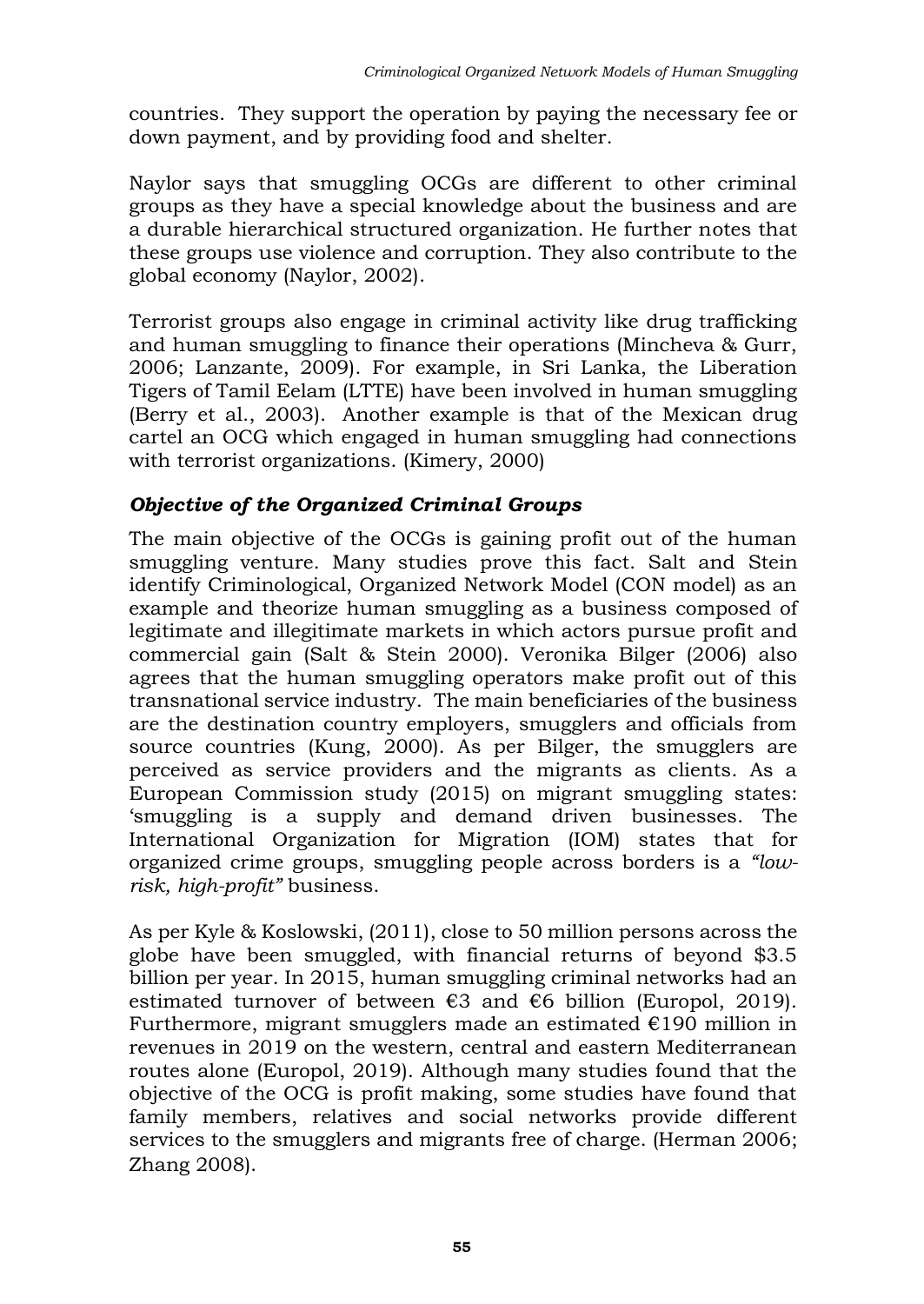countries. They support the operation by paying the necessary fee or down payment, and by providing food and shelter.

Naylor says that smuggling OCGs are different to other criminal groups as they have a special knowledge about the business and are a durable hierarchical structured organization. He further notes that these groups use violence and corruption. They also contribute to the global economy (Naylor, 2002).

Terrorist groups also engage in criminal activity like drug trafficking and human smuggling to finance their operations (Mincheva & Gurr, 2006; Lanzante, 2009). For example, in Sri Lanka, the Liberation Tigers of Tamil Eelam (LTTE) have been involved in human smuggling (Berry et al., 2003). Another example is that of the Mexican drug cartel an OCG which engaged in human smuggling had connections with terrorist organizations. (Kimery, 2000)

### *Objective of the Organized Criminal Groups*

The main objective of the OCGs is gaining profit out of the human smuggling venture. Many studies prove this fact. Salt and Stein identify Criminological, Organized Network Model (CON model) as an example and theorize human smuggling as a business composed of legitimate and illegitimate markets in which actors pursue profit and commercial gain (Salt & Stein 2000). Veronika Bilger (2006) also agrees that the human smuggling operators make profit out of this transnational service industry. The main beneficiaries of the business are the destination country employers, smugglers and officials from source countries (Kung, 2000). As per Bilger, the smugglers are perceived as service providers and the migrants as clients. As a European Commission study (2015) on migrant smuggling states: 'smuggling is a supply and demand driven businesses. The International Organization for Migration (IOM) states that for organized crime groups, smuggling people across borders is a *"lowrisk, high-profit"* business.

As per Kyle & Koslowski, (2011), close to 50 million persons across the globe have been smuggled, with financial returns of beyond \$3.5 billion per year. In 2015, human smuggling criminal networks had an estimated turnover of between  $\epsilon$ 3 and  $\epsilon$ 6 billion (Europol, 2019). Furthermore, migrant smugglers made an estimated  $€190$  million in revenues in 2019 on the western, central and eastern Mediterranean routes alone (Europol, 2019). Although many studies found that the objective of the OCG is profit making, some studies have found that family members, relatives and social networks provide different services to the smugglers and migrants free of charge. (Herman 2006; Zhang 2008).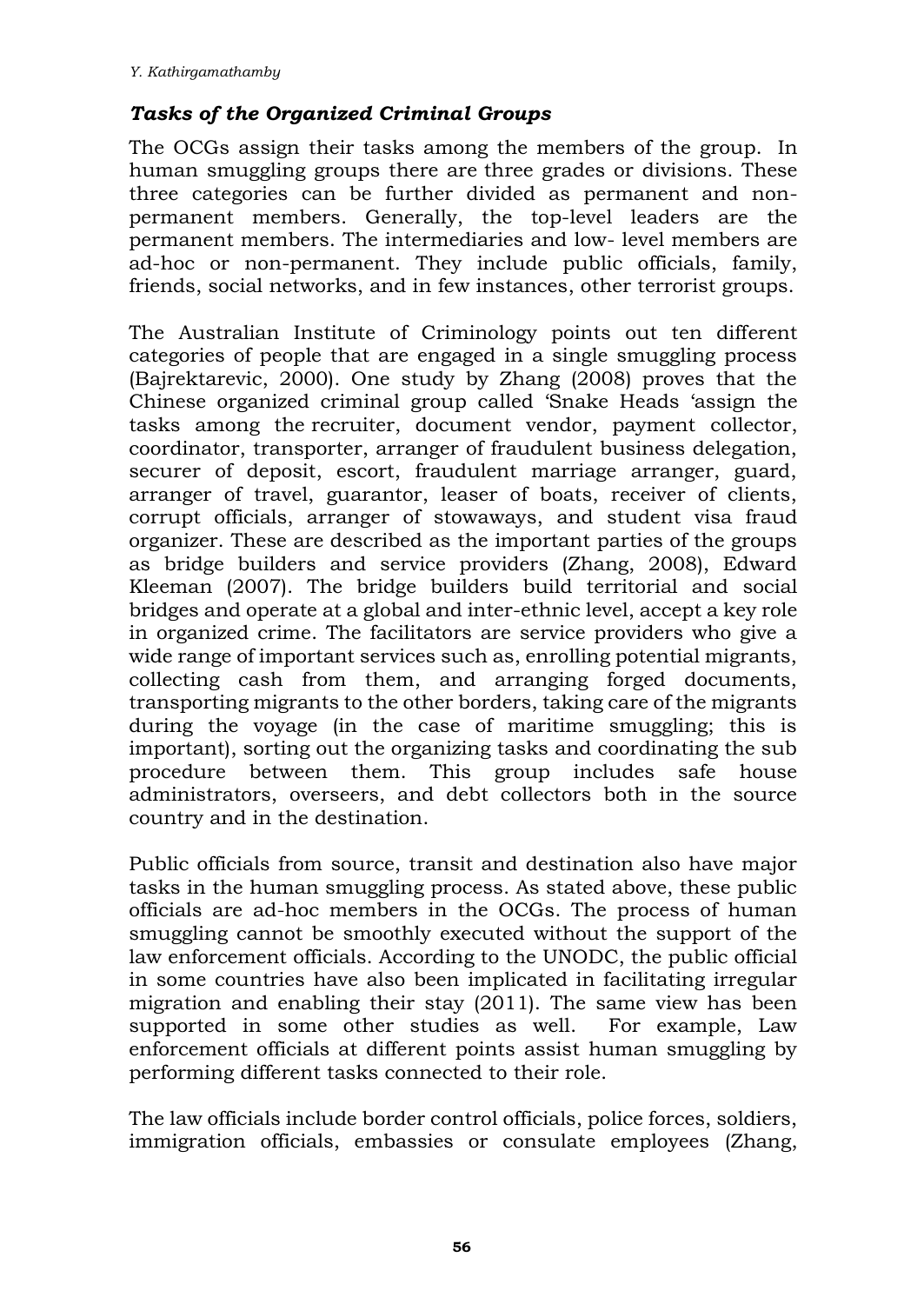### *Tasks of the Organized Criminal Groups*

The OCGs assign their tasks among the members of the group. In human smuggling groups there are three grades or divisions. These three categories can be further divided as permanent and nonpermanent members. Generally, the top-level leaders are the permanent members. The intermediaries and low- level members are ad-hoc or non-permanent. They include public officials, family, friends, social networks, and in few instances, other terrorist groups.

The Australian Institute of Criminology points out ten different categories of people that are engaged in a single smuggling process (Bajrektarevic, 2000). One study by Zhang (2008) proves that the Chinese organized criminal group called 'Snake Heads 'assign the tasks among the recruiter, document vendor, payment collector, coordinator, transporter, arranger of fraudulent business delegation, securer of deposit, escort, fraudulent marriage arranger, guard, arranger of travel, guarantor, leaser of boats, receiver of clients, corrupt officials, arranger of stowaways, and student visa fraud organizer. These are described as the important parties of the groups as bridge builders and service providers (Zhang, 2008), Edward Kleeman (2007). The bridge builders build territorial and social bridges and operate at a global and inter-ethnic level, accept a key role in organized crime. The facilitators are service providers who give a wide range of important services such as, enrolling potential migrants, collecting cash from them, and arranging forged documents, transporting migrants to the other borders, taking care of the migrants during the voyage (in the case of maritime smuggling; this is important), sorting out the organizing tasks and coordinating the sub procedure between them. This group includes safe house administrators, overseers, and debt collectors both in the source country and in the destination.

Public officials from source, transit and destination also have major tasks in the human smuggling process. As stated above, these public officials are ad-hoc members in the OCGs. The process of human smuggling cannot be smoothly executed without the support of the law enforcement officials. According to the UNODC, the public official in some countries have also been implicated in facilitating irregular migration and enabling their stay (2011). The same view has been supported in some other studies as well. For example, Law enforcement officials at different points assist human smuggling by performing different tasks connected to their role.

The law officials include border control officials, police forces, soldiers, immigration officials, embassies or consulate employees (Zhang,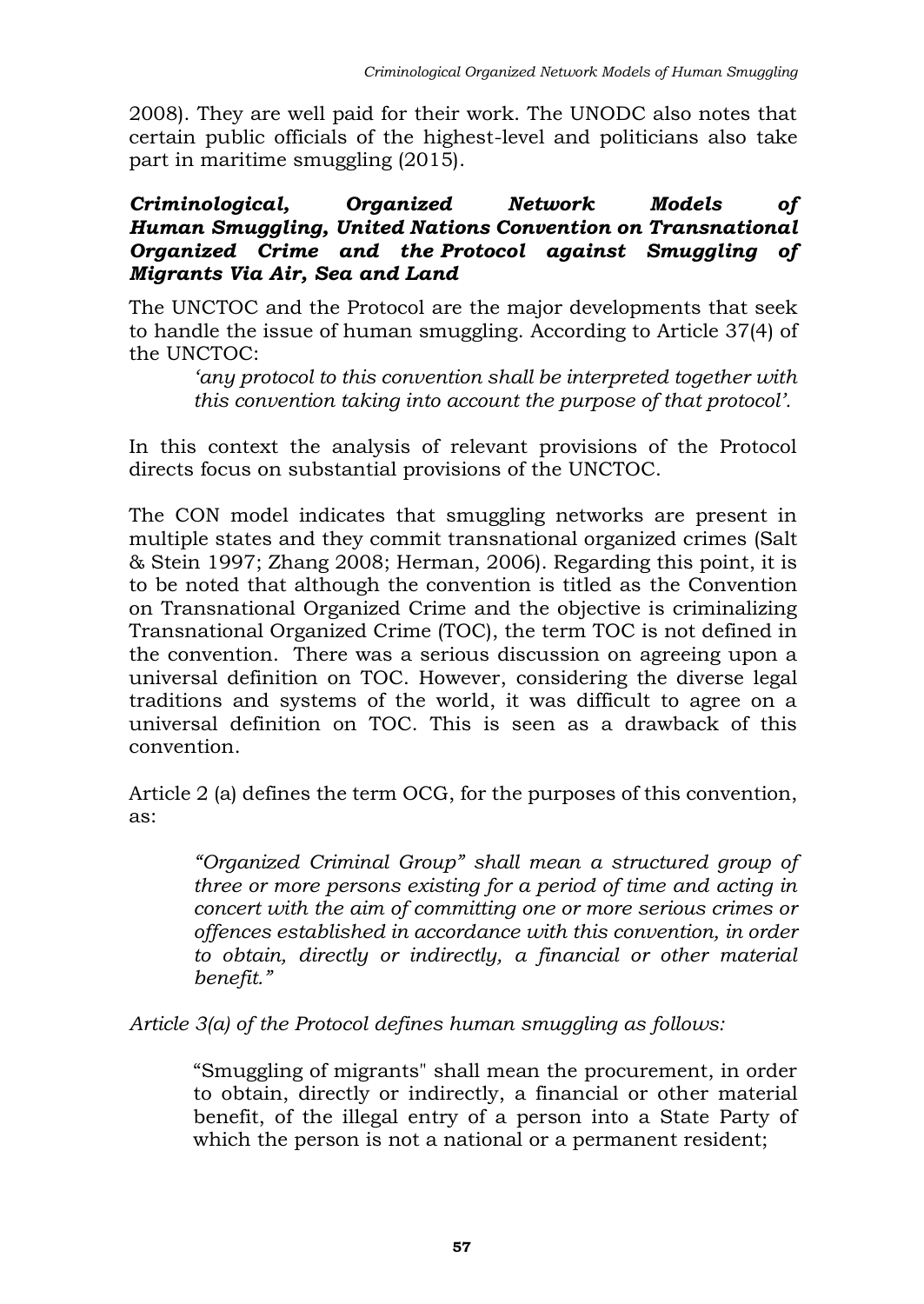2008). They are well paid for their work. The UNODC also notes that certain public officials of the highest-level and politicians also take part in maritime smuggling (2015).

#### *Criminological, Organized Network Models of Human Smuggling, United Nations Convention on Transnational Organized Crime and the Protocol against Smuggling of Migrants Via Air, Sea and Land*

The UNCTOC and the Protocol are the major developments that seek to handle the issue of human smuggling. According to Article 37(4) of the UNCTOC:

*'any protocol to this convention shall be interpreted together with this convention taking into account the purpose of that protocol'.*

In this context the analysis of relevant provisions of the Protocol directs focus on substantial provisions of the UNCTOC.

The CON model indicates that smuggling networks are present in multiple states and they commit transnational organized crimes (Salt & Stein 1997; Zhang 2008; Herman, 2006). Regarding this point, it is to be noted that although the convention is titled as the Convention on Transnational Organized Crime and the objective is criminalizing Transnational Organized Crime (TOC), the term TOC is not defined in the convention. There was a serious discussion on agreeing upon a universal definition on TOC. However, considering the diverse legal traditions and systems of the world, it was difficult to agree on a universal definition on TOC. This is seen as a drawback of this convention.

Article 2 (a) defines the term OCG, for the purposes of this convention, as:

*"Organized Criminal Group" shall mean a structured group of three or more persons existing for a period of time and acting in concert with the aim of committing one or more serious crimes or offences established in accordance with this convention, in order to obtain, directly or indirectly, a financial or other material benefit."*

*Article 3(a) of the Protocol defines human smuggling as follows:*

"Smuggling of migrants" shall mean the procurement, in order to obtain, directly or indirectly, a financial or other material benefit, of the illegal entry of a person into a State Party of which the person is not a national or a permanent resident;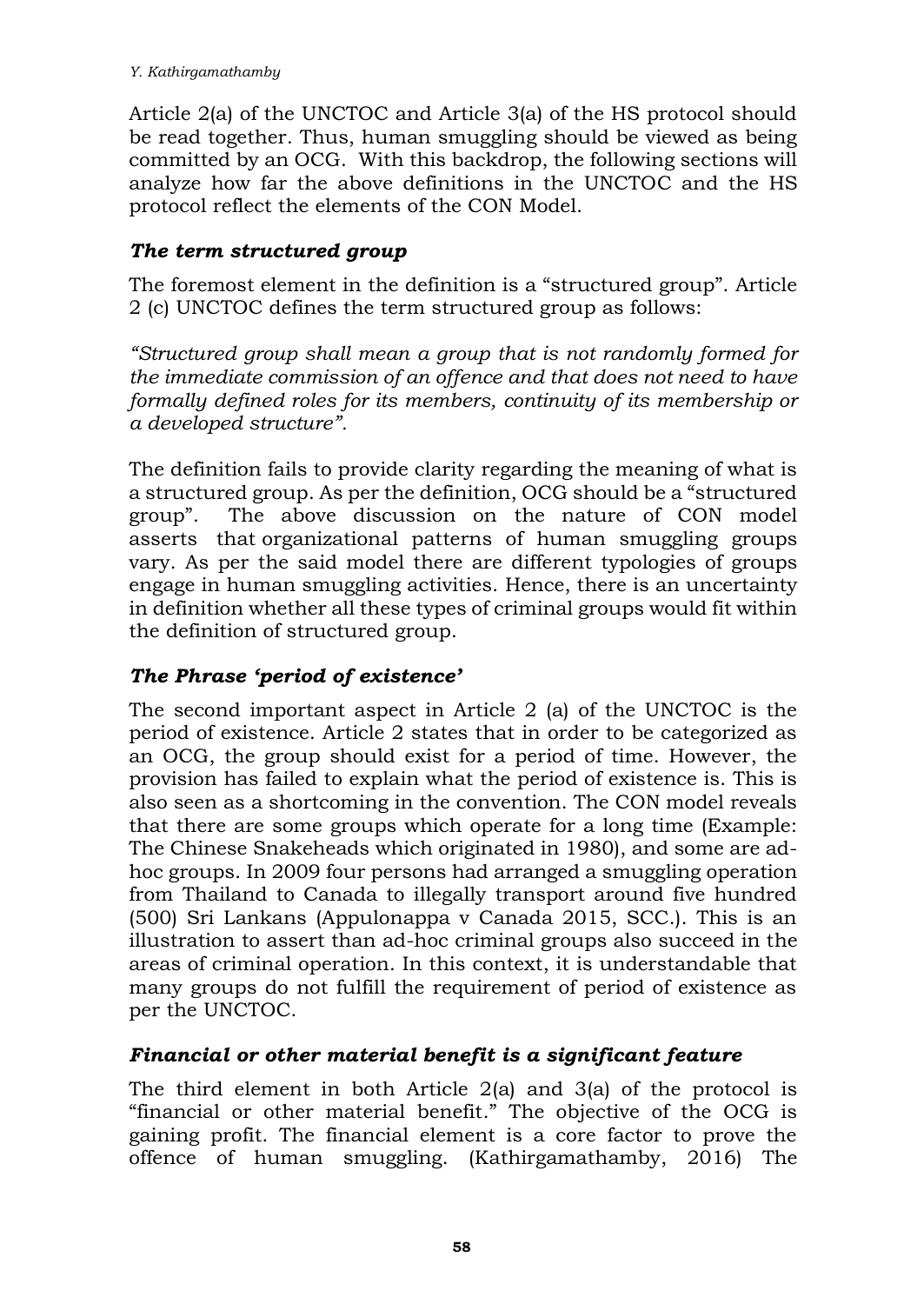Article 2(a) of the UNCTOC and Article 3(a) of the HS protocol should be read together. Thus, human smuggling should be viewed as being committed by an OCG. With this backdrop, the following sections will analyze how far the above definitions in the UNCTOC and the HS protocol reflect the elements of the CON Model.

### *The term structured group*

The foremost element in the definition is a "structured group". Article 2 (c) UNCTOC defines the term structured group as follows:

*"Structured group shall mean a group that is not randomly formed for the immediate commission of an offence and that does not need to have formally defined roles for its members, continuity of its membership or a developed structure".*

The definition fails to provide clarity regarding the meaning of what is a structured group. As per the definition, OCG should be a "structured group". The above discussion on the nature of CON model asserts that organizational patterns of human smuggling groups vary. As per the said model there are different typologies of groups engage in human smuggling activities. Hence, there is an uncertainty in definition whether all these types of criminal groups would fit within the definition of structured group.

## *The Phrase 'period of existence'*

The second important aspect in Article 2 (a) of the UNCTOC is the period of existence. Article 2 states that in order to be categorized as an OCG, the group should exist for a period of time. However, the provision has failed to explain what the period of existence is. This is also seen as a shortcoming in the convention. The CON model reveals that there are some groups which operate for a long time (Example: The Chinese Snakeheads which originated in 1980), and some are adhoc groups. In 2009 four persons had arranged a smuggling operation from Thailand to Canada to illegally transport around five hundred (500) Sri Lankans (Appulonappa v Canada 2015, SCC.). This is an illustration to assert than ad-hoc criminal groups also succeed in the areas of criminal operation. In this context, it is understandable that many groups do not fulfill the requirement of period of existence as per the UNCTOC.

### *Financial or other material benefit is a significant feature*

The third element in both Article 2(a) and 3(a) of the protocol is "financial or other material benefit." The objective of the OCG is gaining profit. The financial element is a core factor to prove the offence of human smuggling. (Kathirgamathamby, 2016) The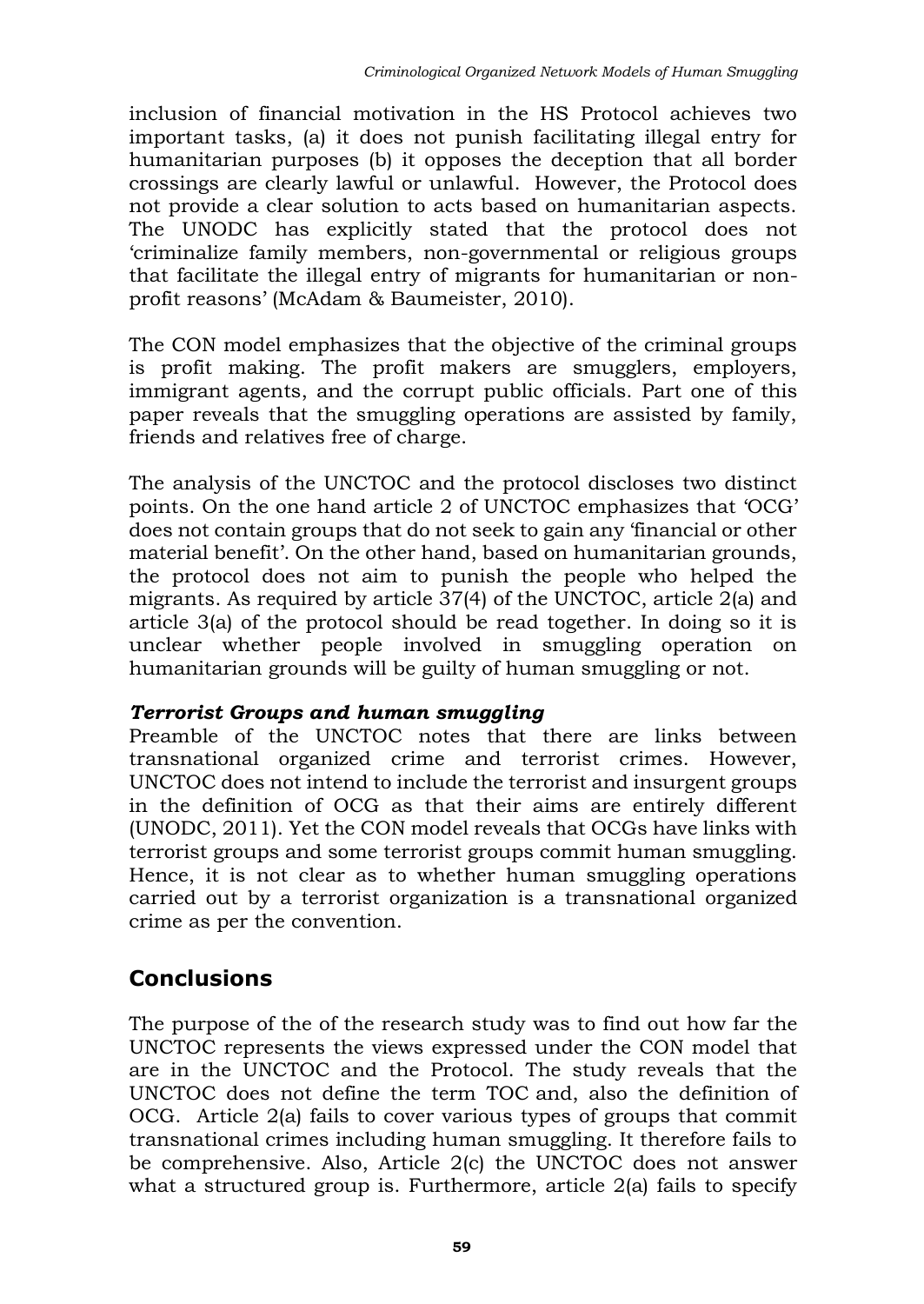inclusion of financial motivation in the HS Protocol achieves two important tasks, (a) it does not punish facilitating illegal entry for humanitarian purposes (b) it opposes the deception that all border crossings are clearly lawful or unlawful. However, the Protocol does not provide a clear solution to acts based on humanitarian aspects. The UNODC has explicitly stated that the protocol does not 'criminalize family members, non-governmental or religious groups that facilitate the illegal entry of migrants for humanitarian or nonprofit reasons' (McAdam & Baumeister, 2010).

The CON model emphasizes that the objective of the criminal groups is profit making. The profit makers are smugglers, employers, immigrant agents, and the corrupt public officials. Part one of this paper reveals that the smuggling operations are assisted by family, friends and relatives free of charge.

The analysis of the UNCTOC and the protocol discloses two distinct points. On the one hand article 2 of UNCTOC emphasizes that 'OCG' does not contain groups that do not seek to gain any 'financial or other material benefit'. On the other hand, based on humanitarian grounds, the protocol does not aim to punish the people who helped the migrants. As required by article 37(4) of the UNCTOC, article 2(a) and article 3(a) of the protocol should be read together. In doing so it is unclear whether people involved in smuggling operation on humanitarian grounds will be guilty of human smuggling or not.

### *Terrorist Groups and human smuggling*

Preamble of the UNCTOC notes that there are links between transnational organized crime and terrorist crimes. However, UNCTOC does not intend to include the terrorist and insurgent groups in the definition of OCG as that their aims are entirely different (UNODC, 2011). Yet the CON model reveals that OCGs have links with terrorist groups and some terrorist groups commit human smuggling. Hence, it is not clear as to whether human smuggling operations carried out by a terrorist organization is a transnational organized crime as per the convention.

# **Conclusions**

The purpose of the of the research study was to find out how far the UNCTOC represents the views expressed under the CON model that are in the UNCTOC and the Protocol. The study reveals that the UNCTOC does not define the term TOC and, also the definition of OCG. Article 2(a) fails to cover various types of groups that commit transnational crimes including human smuggling. It therefore fails to be comprehensive. Also, Article 2(c) the UNCTOC does not answer what a structured group is. Furthermore, article 2(a) fails to specify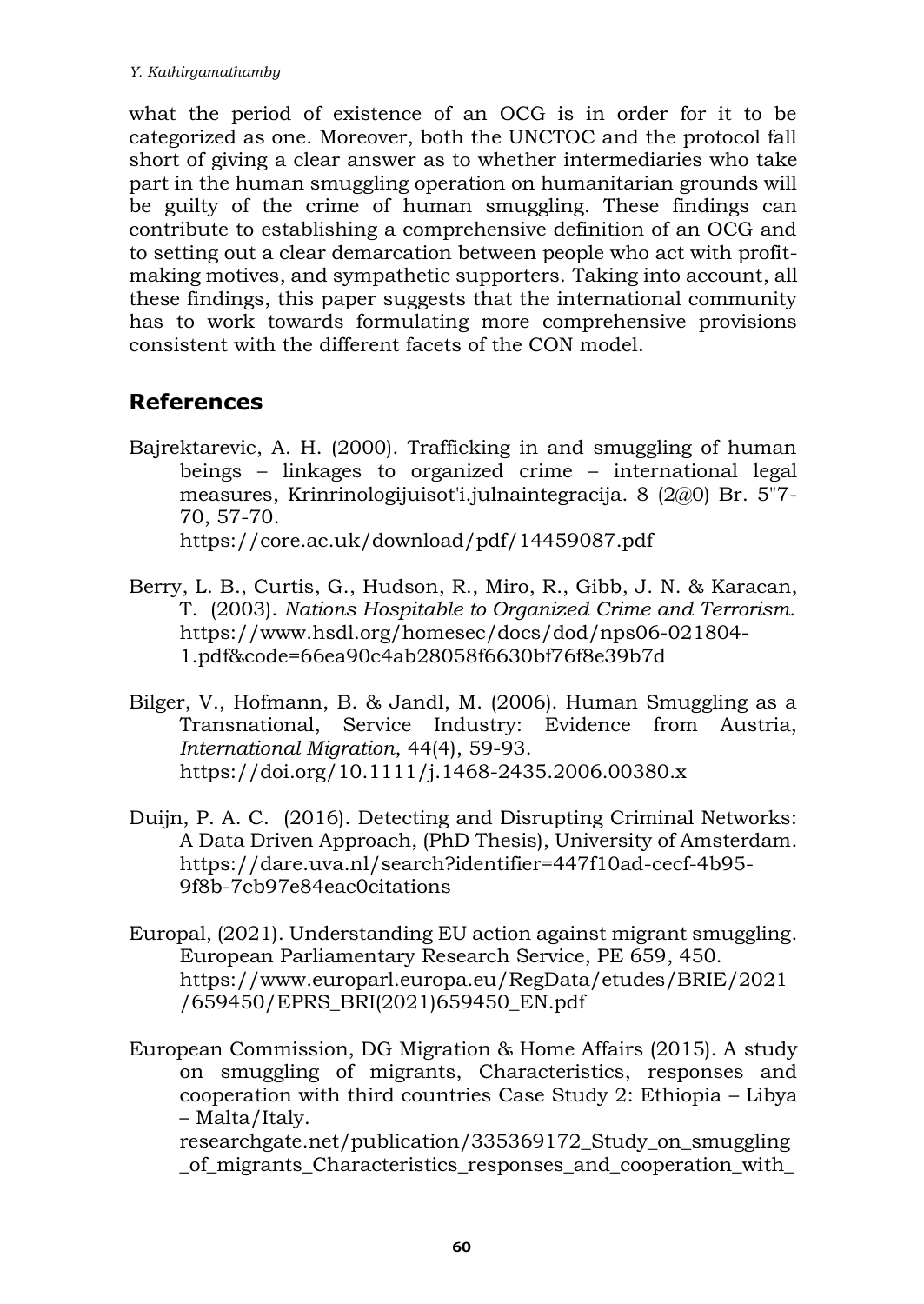what the period of existence of an OCG is in order for it to be categorized as one. Moreover, both the UNCTOC and the protocol fall short of giving a clear answer as to whether intermediaries who take part in the human smuggling operation on humanitarian grounds will be guilty of the crime of human smuggling. These findings can contribute to establishing a comprehensive definition of an OCG and to setting out a clear demarcation between people who act with profitmaking motives, and sympathetic supporters. Taking into account, all these findings, this paper suggests that the international community has to work towards formulating more comprehensive provisions consistent with the different facets of the CON model.

# **References**

- Bajrektarevic, A. H. (2000). Trafficking in and smuggling of human beings – linkages to organized crime – international legal measures, Krinrinologijuisot'i.julnaintegracija. 8 (2@0) Br. 5"7- 70, 57-70. <https://core.ac.uk/download/pdf/14459087.pdf>
- Berry, L. B., Curtis, G., Hudson, R., Miro, R., Gibb, J. N. & Karacan, T. (2003). *Nations Hospitable to Organized Crime and Terrorism.* https://www.hsdl.org/homesec/docs/dod/nps06-021804- 1.pdf&code=66ea90c4ab28058f6630bf76f8e39b7d
- Bilger, V., Hofmann, B. & Jandl, M. (2006). Human Smuggling as a Transnational, Service Industry: Evidence from Austria, *International Migration*, 44(4), 59-93. https:/[/doi.org/10.1111/j.1468-2435.2006.00380.x](https://doi.org/10.1111/j.1468-2435.2006.00380.x)
- Duijn, P. A. C. (2016). Detecting and Disrupting Criminal Networks: A Data Driven Approach, (PhD Thesis), University of Amsterdam. [https://dare.uva.nl/search?identifier=447f10ad-cecf-4b95-](https://dare.uva.nl/search?identifier=447f10ad-cecf-4b95-9f8b-7cb97e84eac0) [9f8b-7cb97e84eac0c](https://dare.uva.nl/search?identifier=447f10ad-cecf-4b95-9f8b-7cb97e84eac0)itations
- Europal, (2021). [Understanding EU action against migrant smuggling.](http://www.europarl.europa.eu/RegData/etudes/BRIE/2021/659450/EPRS_BRI(2021)659450_EN.pdf) European Parliamentary Research Service, PE 659, 450. [https://www.europarl.europa.eu/RegData/etudes/BRIE/2021](https://www.europarl.europa.eu/RegData/etudes/BRIE/2021/659450/EPRS_BRI(2021)659450_EN.pdf) [/659450/EPRS\\_BRI\(2021\)659450\\_EN.pdf](https://www.europarl.europa.eu/RegData/etudes/BRIE/2021/659450/EPRS_BRI(2021)659450_EN.pdf)
- European Commission, DG Migration & Home Affairs (2015). A study on smuggling of migrants, Characteristics, responses and cooperation with third countries Case Study 2: Ethiopia – Libya – Malta/Italy.

researchgate.net/publication/335369172\_Study\_on\_smuggling \_of\_migrants\_Characteristics\_responses\_and\_cooperation\_with\_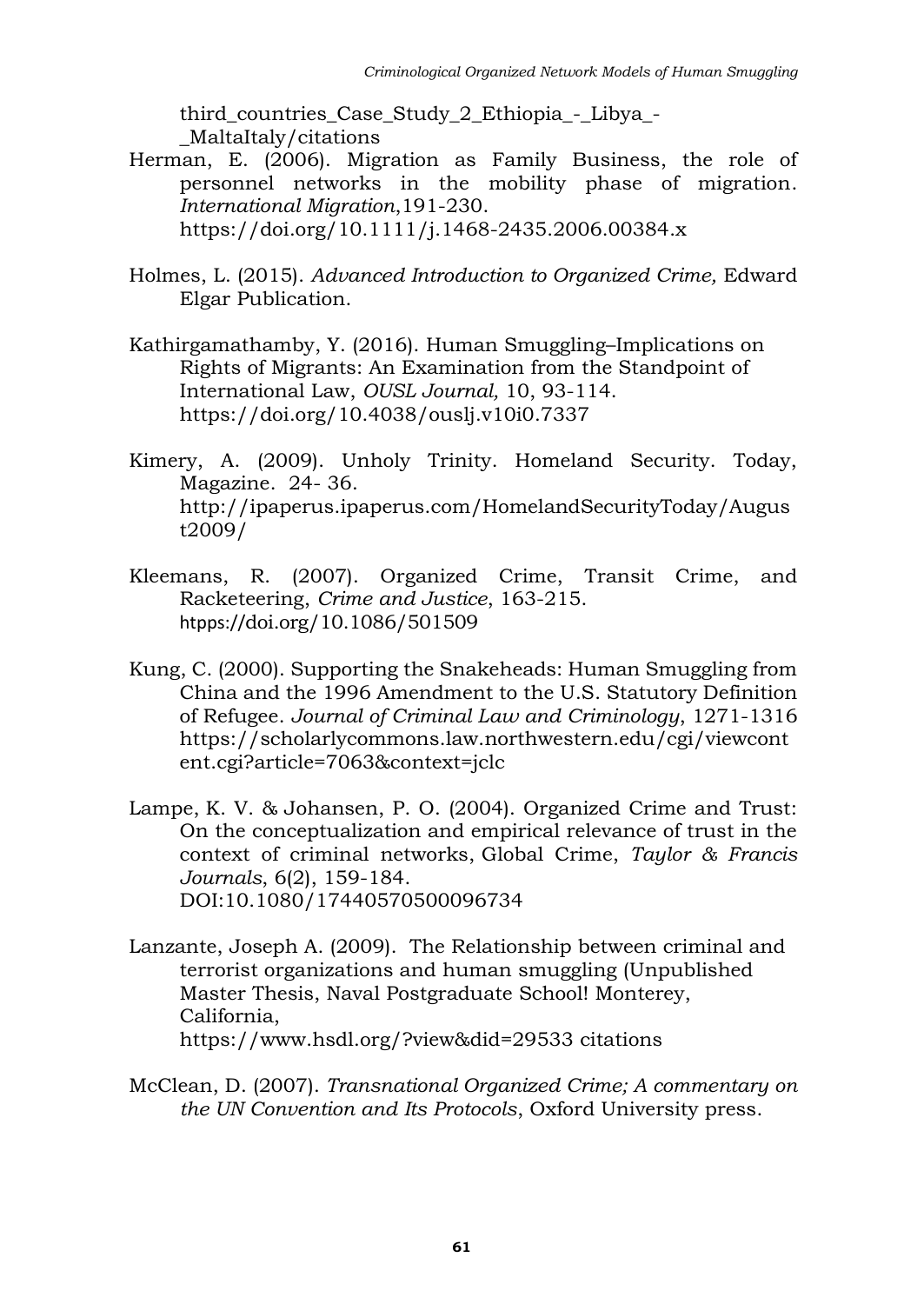third\_countries\_Case\_Study\_2\_Ethiopia\_-\_Libya\_- \_MaltaItaly/citations

- Herman, E. (2006). Migration as Family Business, the role of personnel networks in the mobility phase of migration. *International Migration*,191-230. https:/[/doi.org/10.1111/j.1468-2435.2006.00384.x](file:///C:/Users/USER/Downloads/hdoi.org/10.1111/j.1468-2435.2006.00384.x)
- Holmes, L. (2015). *Advanced Introduction to Organized Crime,* Edward Elgar Publication.
- Kathirgamathamby, Y. (2016). Human Smuggling–Implications on Rights of Migrants: An Examination from the Standpoint of International Law, *OUSL Journal,* 10, 93-114. [https://doi.org/10.4038/ouslj.v10i0.7337](https://doi.org/10.4038/ouslj.v10i0.7337.)
- Kimery, A. (2009). Unholy Trinity. Homeland Security. Today, Magazine. 24- 36. [http://ipaperus.ipaperus.com/HomelandSecurityToday/Augus](http://ipaperus.ipaperus.com/HomelandSecurityToday/August2009/) [t2009/](http://ipaperus.ipaperus.com/HomelandSecurityToday/August2009/)
- Kleemans, R. (2007). Organized Crime, Transit Crime, and Racketeering, *Crime and Justice*, 163-215. htpps://[doi.org/10.1086/501509](https://doi.org/10.1086/501509)
- Kung, C. (2000). Supporting the Snakeheads: Human Smuggling from China and the 1996 Amendment to the U.S. Statutory Definition of Refugee. *Journal of Criminal Law and Criminology*, 1271-1316 [https://scholarlycommons.law.northwestern.edu/cgi/viewcont](https://scholarlycommons.law.northwestern.edu/cgi/viewcontent.cgi?article=7063&context=jclc) [ent.cgi?article=7063&context=jclc](https://scholarlycommons.law.northwestern.edu/cgi/viewcontent.cgi?article=7063&context=jclc)
- Lampe, K. V. & Johansen, P. O. (2004). Organized Crime and Trust: On the conceptualization and empirical relevance of trust in the context of criminal networks, [Global Crime,](https://ideas.repec.org/s/taf/fglcxx.html) *Taylor & Francis Journals*, 6(2), 159-184. DOI:10.1080/17440570500096734
- Lanzante, Joseph A. (2009). The Relationship between criminal and terrorist organizations and human smuggling (Unpublished Master Thesis, Naval Postgraduate School! Monterey, California, <https://www.hsdl.org/?view&did=29533> citations
- McClean, D. (2007). *Transnational Organized Crime; A commentary on the UN Convention and Its Protocols*, Oxford University press.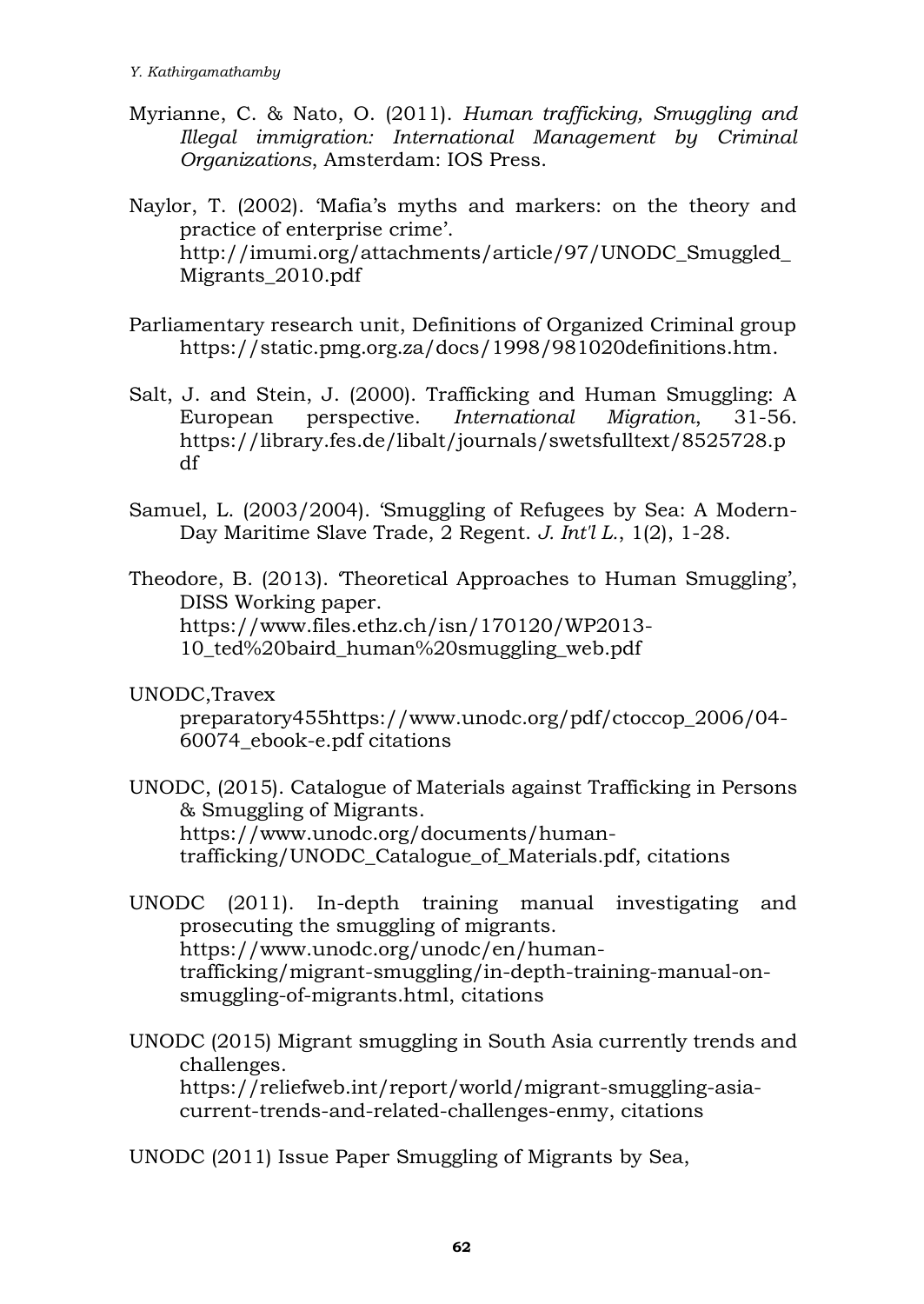- [Myrianne,](https://www.worldcat.org/search?q=au%3ACoen%2C+Myrianne.&qt=hot_author) C. & Nato, O. (2011). *Human trafficking, Smuggling and Illegal immigration: International Management by Criminal Organizations*, Amsterdam: IOS Press.
- Naylor, T. (2002). 'Mafia's myths and markers: on the theory and practice of enterprise crime'. [http://imumi.org/attachments/article/97/UNODC\\_Smuggled\\_](http://imumi.org/attachments/article/97/UNODC_Smuggled_Migrants_2010.pdf) [Migrants\\_2010.pdf](http://imumi.org/attachments/article/97/UNODC_Smuggled_Migrants_2010.pdf)
- Parliamentary research unit, Definitions of Organized Criminal group [https://static.pmg.org.za/docs/1998/981020definitions.htm.](https://static.pmg.org.za/docs/1998/981020definitions.htm)
- Salt, J. and Stein, J. (2000). Trafficking and Human Smuggling: A European perspective. *International Migration*, 31-56. [https://library.fes.de/libalt/journals/swetsfulltext/8525728.p](https://library.fes.de/libalt/journals/swetsfulltext/8525728.pdf) [df](https://library.fes.de/libalt/journals/swetsfulltext/8525728.pdf)
- Samuel, L. (2003/2004). 'Smuggling of Refugees by Sea: A Modern-Day Maritime Slave Trade, 2 Regent. *J. Int'l L.*, 1(2), 1-28.
- Theodore, B. (2013). 'Theoretical Approaches to Human Smuggling', DISS Working paper. [https://www.files.ethz.ch/isn/170120/WP2013-](https://www.files.ethz.ch/isn/170120/WP2013-10_ted%20baird_human%20smuggling_web.pdf) [10\\_ted%20baird\\_human%20smuggling\\_web.pdf](https://www.files.ethz.ch/isn/170120/WP2013-10_ted%20baird_human%20smuggling_web.pdf)
- UNODC,Travex

preparatory455https://www.unodc.org/pdf/ctoccop\_2006/04- 60074\_ebook-e.pdf citations

UNODC, (2015). Catalogue of Materials against Trafficking in Persons & Smuggling of Migrants. [https://www.unodc.org/documents/human](https://www.unodc.org/documents/human-trafficking/UNODC_Catalogue_of_Materials.pdf)[trafficking/UNODC\\_Catalogue\\_of\\_Materials.pdf,](https://www.unodc.org/documents/human-trafficking/UNODC_Catalogue_of_Materials.pdf) citations

- UNODC (2011). In-depth training manual investigating and prosecuting the smuggling of migrants. [https://www.unodc.org/unodc/en/human](https://www.unodc.org/unodc/en/human-trafficking/migrant-smuggling/in-depth-training-manual-on-smuggling-of-migrants.html)[trafficking/migrant-smuggling/in-depth-training-manual-on](https://www.unodc.org/unodc/en/human-trafficking/migrant-smuggling/in-depth-training-manual-on-smuggling-of-migrants.html)[smuggling-of-migrants.html,](https://www.unodc.org/unodc/en/human-trafficking/migrant-smuggling/in-depth-training-manual-on-smuggling-of-migrants.html) citations
- UNODC (2015) Migrant smuggling in South Asia currently trends and challenges. [https://reliefweb.int/report/world/migrant-smuggling-asia](https://reliefweb.int/report/world/migrant-smuggling-asia-current-trends-and-related-challenges-enmy)[current-trends-and-related-challenges-enmy,](https://reliefweb.int/report/world/migrant-smuggling-asia-current-trends-and-related-challenges-enmy) citations

UNODC (2011) Issue Paper Smuggling of Migrants by Sea,